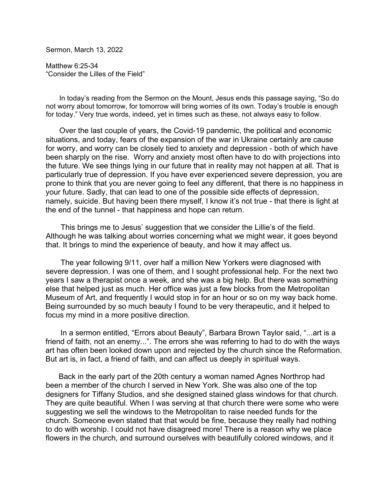Sermon, March 13, 2022

Matthew 6:25-34 "Consider the Lilles of the Field"

 In today's reading from the Sermon on the Mount, Jesus ends this passage saying, "So do not worry about tomorrow, for tomorrow will bring worries of its own. Today's trouble is enough for today." Very true words, indeed, yet in times such as these, not always easy to follow.

 Over the last couple of years, the Covid-19 pandemic, the political and economic situations, and today, fears of the expansion of the war in Ukraine certainly are cause for worry, and worry can be closely tied to anxiety and depression - both of which have been sharply on the rise. Worry and anxiety most often have to do with projections into the future. We see things lying in our future that in reality may not happen at all. That is particularly true of depression. If you have ever experienced severe depression, you are prone to think that you are never going to feel any different, that there is no happiness in your future. Sadly, that can lead to one of the possible side effects of depression, namely, suicide. But having been there myself, I know it's not true - that there is light at the end of the tunnel - that happiness and hope can return.

 This brings me to Jesus' suggestion that we consider the Lillie's of the field. Although he was talking about worries concerning what we might wear, it goes beyond that. It brings to mind the experience of beauty, and how it may affect us.

 The year following 9/11, over half a million New Yorkers were diagnosed with severe depression. I was one of them, and I sought professional help. For the next two years I saw a therapist once a week, and she was a big help. But there was something else that helped just as much. Her office was just a few blocks from the Metropolitan Museum of Art, and frequently I would stop in for an hour or so on my way back home. Being surrounded by so much beauty I found to be very therapeutic, and it helped to focus my mind in a more positive direction.

 In a sermon entitled, "Errors about Beauty", Barbara Brown Taylor said, "...art is a friend of faith, not an enemy...". The errors she was referring to had to do with the ways art has often been looked down upon and rejected by the church since the Reformation. But art is, in fact, a friend of faith, and can affect us deeply in spiritual ways.

 Back in the early part of the 20th century a woman named Agnes Northrop had been a member of the church I served in New York. She was also one of the top designers for Tiffany Studios, and she designed stained glass windows for that church. They are quite beautiful. When I was serving at that church there were some who were suggesting we sell the windows to the Metropolitan to raise needed funds for the church. Someone even stated that that would be fine, because they really had nothing to do with worship. I could not have disagreed more! There is a reason why we place flowers in the church, and surround ourselves with beautifully colored windows, and it